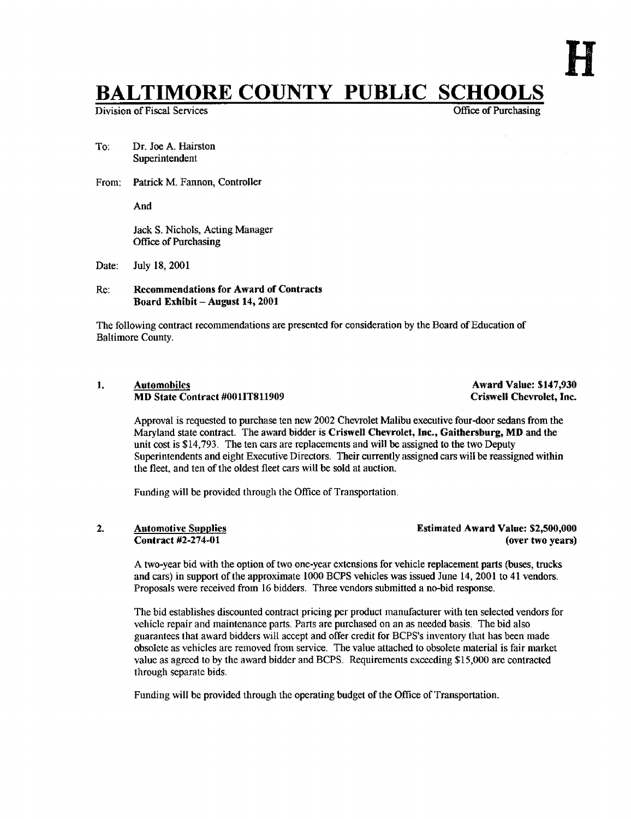# **BALTIMORE COUNTY PUBLIC SCHOOLS**<br>Division of Fiscal Services

Division of Fiscal Services

- To: Dr. Joe A. Hairston Superintendent
- From: Patrick M. Fannon, Controller

And

Jack S. Nichols, Acting Manager Office of Purchasing

Date: July 18, 2001

#### Re: Recommendations for Award of Contracts Board Exhibit - August 14, 2001

The following contract recommendations are presented for consideration by the Board of Education of Baltimore County.

#### 1. Automobiles Automobiles Award Value: \$147,930<br>1. Automobiles Award Value: \$147,930<br>2. Criswell Chevrolet, Inc. MD State Contract #001IT811909

Approval is requested to purchase ten new 2002 Chevrolet Malibu executive four-door sedans from the Maryland state contract. The award bidder is Criswell Chevrolet, Inc., Gaithersburg, MD and the unit cost is \$14,793. The ten cars are replacements and will be assigned to the two Deputy Superintendents and eight Executive Directors . Their currently assigned cars will be reassigned within the fleet, and ten of the oldest fleet cars will be sold at auction.

Funding will be provided through the Office of Transportation .

#### 2. Automotive Supplies Contract #2-274-01

Estimated Award Value: \$2,500,000 (over two years)

Atwo-year bid with the option of two one-year extensions for vehicle replacement parts (buses, trucks and cars) in support of the approximate 1000 BCPS vehicles was issued June 14, 2001 to 41 vendors . Proposals were received from 16 bidders . Three vendors submitted a no-bid response .

The bid establishes discounted contract pricing per product manufacturer with ten selected vendors for vehicle repair and maintenance parts. Parts are purchased on an as needed basis. The bid also guarantees that award bidders will accept and offer credit for BCPS's inventory that has been made obsolete as vehicles are removed from service. The value attached to obsolete material is fair market value as agreed to by the award bidder and BCPS. Requirements exceeding \$15,000 are contracted through separate bids.

Funding will be provided through the operating budget of the Office of Transportation.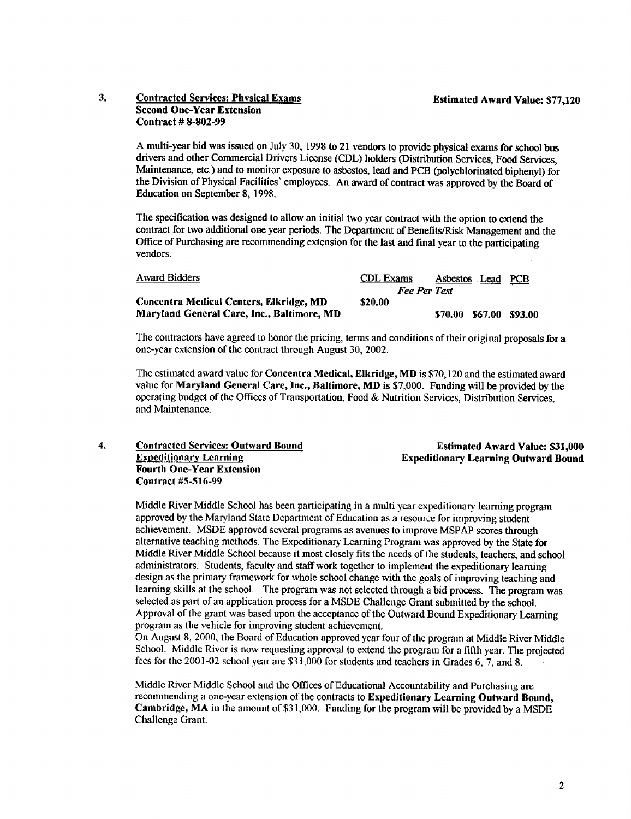Estimated Award Value: 531,000

### 3. Contracted Services: Physical Exams Estimated Award Value: \$77,120 Second One-Year Extension Contract # 8-802-99

A multi-year bid was issued on July 30, <sup>1998</sup> to <sup>21</sup> vendors to provide physical exams for school bus drivers and other Commercial Drivers License (CDL) holders (Distribution Services, Food Services, Maintenance, etc .) and to monitor exposure to asbestos, lead and PCB (polychlorinated biphenyl) for the Division of Physical Facilities' employees. An award of contract was approved by the Board of Education on September 8, 1998.

The specification was designed to allow an initial two year contract with the option to extend the contract for two additional one year periods . The Department of Benefits/Risk Management and the Office of Purchasing are recommending extension for the last and final year to the participating vendors.

| <b>Award Bidders</b>                       | <b>CDL</b> Exams | Asbestos Lead       | PCB       |
|--------------------------------------------|------------------|---------------------|-----------|
|                                            |                  | <b>Fee Per Test</b> |           |
| Concentra Medical Centers, Elkridge, MD    | \$20.00          |                     |           |
| Maryland General Care, Inc., Baltimore, MD |                  | \$70.00 \$67.00     | - \$93.00 |

The contractors have agreed to honor the pricing, terms and conditions of their original proposals for a one-year extension of the contract through August 30, 2002.

The estimated award value for Concentra Medical, Elkridge, MD is \$70,120 and the estimated award value for Maryland General Care, Inc., Baltimore, MD is \$7,000. Funding will be provided by the operating budget of the Offices of Transportation, Food & Nutrition Services, Distribution Services, and Maintenance.

4. Contracted Services: Outward Bound Expeditionary Learning Fourth One-Year Extension Contract #5-516-99 Expeditionary Learning Outward Bound

Middle River Middle School has been participating in a multi year expeditionary learning program approved by the Maryland State Department of Education as a resource for improving student achievement. MSDE approved several programs as avenues to improve MSPAP scores through alternative teaching methods. The Expeditionary Learning Program was approved by the State for Middle River Middle School because it most closely fits the needs of the students, teachers, and school administrators. Students, faculty and staff work together to implement the expeditionary learning design as the primary framework for whole school change with the goals of improving teaching and learning skills at the school. The program was not selected through a bid process. The program was selected as part of an application process for <sup>a</sup> MSDE Challenge Grant submitted by the school . Approval of the grant was based upon the acceptance of the Outward Bound Expeditionary Learning program as the vehicle for improving student achievement.

On August 8, 2000, the Board of Education approved year four of the program at Middle River Middle School. Middle River is now requesting approval to extend the program for a fifth year. The projected fees for the 2001-02 school year are \$31,000 for students and teachers in Grades 6, 7, and <sup>8</sup>

Middle River Middle School and the Offices of Educational Accountability and Purchasing are recommending <sup>a</sup> one-year extension of the contracts to Expeditionary Learning Outward Bound, Cambridge, MA in the amount of \$31,000 . Funding for the program will be provided by <sup>a</sup> MSDE Challenge Grant.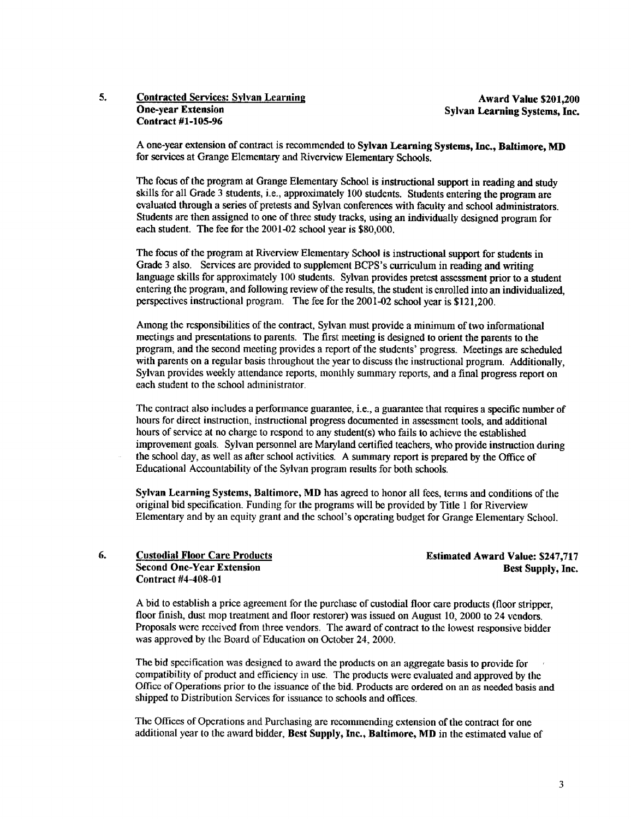# 5. Contracted Services: Sylvan Learning<br>One-year Extension Sylvan Learning Sylvan Learning Systems. Inc. Contract #1-105-96

Sylvan Learning Systems, Inc.

A one-year extension of contract is recommended to Sylvan Learning Systems, Inc., Baltimore, MD for services at Grange Elementary and Riverview Elementary Schools.

The focus of the program at Grange Elementary School is instructional support in reading and study skills for all Grade 3 students, i.e., approximately 100 students. Students entering the program are evaluated through a series of pretests and Sylvan conferences with faculty and school administrators. Students are then assigned to one of three study tracks, using an individually designed program for each student. The fee for the  $2001-02$  school year is  $$80,000$ .

The focus of the program at Riverview Elementary School is instructional support for students in Grade 3 also. Services are provided to supplement BCPS's curriculum in reading and writing language skills for approximately 100 students. Sylvan provides pretest assessment prior to a student entering the program, and following review of the results, the student is enrolled into an individualized. perspectives instructional program. The fee for the 2001-02 school year is \$121,200 .

Among the responsibilities of the contract, Sylvan must provide <sup>a</sup> minimum of two informational meetings and presentations to parents . The first meeting is designed to orient the parents to the program, and the second meeting provides <sup>a</sup> report of the students' progress . Meetings are scheduled with parents on a regular basis throughout the year to discuss the instructional program. Additionally, Sylvan provides weekly attendance reports, monthly summary reports, and <sup>a</sup> final progress report on each student to the school administrator.

The contract also includes a performance guarantee, i.e., a guarantee that requires a specific number of hours for direct instruction, instructional progress documented in assessment tools, and additional hours of service at no charge to respond to any student(s) who fails to achieve the established improvement goals. Sylvan personnel are Maryland certified teachers, who provide instruction during the school day, as well as after school activities . A summary report is prepared by the Office of Educational Accountability of the Sylvan program results for both schools.

Sylvan Learning Systems, Baltimore, MD has agreed to honor all fees, terms and conditions of the original bid specification . Funding for the programs will be provided by Title <sup>1</sup> for Riverview Elementary and by an equity grant and the school's operating budget for Grange Elementary School.

#### 6. Custodial Floor Care Products<br>Second One-Year Extension Best Supply, Inc. Second One-Year Extension Contract #4-408-01

A bid to establish <sup>a</sup> price agreement for the purchase of custodial floor care products (floor stripper, floor finish, dust mop treatment and floor restorer) was issued on August 10, 2000 to 24 vendors. Proposals were received from three vendors. The award of contract to the lowest responsive bidder was approved by the Board of Education on October 24, 2000.

The bid specification was designed to award the products on an aggregate basis to provide for compatibility of product and efficiency in use. The products were evaluated and approved by the Office of Operations prior to the issuance of the bid . Products are ordered on an as needed basis and shipped to Distribution Services for issuance to schools and offices .

The Offices of Operations and Purchasing are recommending extension of the contract for one additional year to the award bidder, Best Supply, Inc., Baltimore, MD in the estimated value of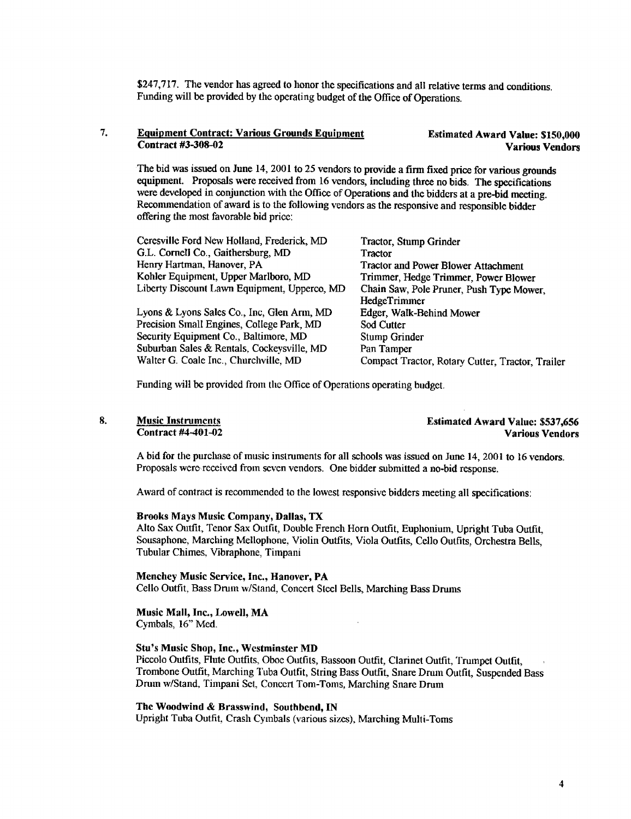\$247,717. The vendor has agreed to honor the specifications and all relative terms and conditions. Funding will be provided by the operating budget of the Office of Operations.

#### 7. Equipment Contract: Various Grounds Equipment<br>Contract #3-308-02 Various Vendors Estimated Award Value: \$150,000

The bid was issued on June 14, 2001 to 25 vendors to provide a firm fixed price for various grounds equipment. Proposals were received from <sup>16</sup> vendors, including three no bids. The specifications were developed in conjunction with the Office of Operations and the bidders at a pre-bid meeting. Recommendation of award is to the following vendors as the responsive and responsible bidder offering the most favorable bid price:

| Ceresville Ford New Holland, Frederick, MD   | Tractor, Stump Grinder                           |
|----------------------------------------------|--------------------------------------------------|
| G.L. Cornell Co., Gaithersburg, MD           | <b>Tractor</b>                                   |
| Henry Hartman, Hanover, PA                   | <b>Tractor and Power Blower Attachment</b>       |
| Kohler Equipment, Upper Marlboro, MD         | Trimmer, Hedge Trimmer, Power Blower             |
| Liberty Discount Lawn Equipment, Upperco, MD | Chain Saw, Pole Pruner, Push Type Mower,         |
|                                              | HedgeTrimmer                                     |
| Lyons & Lyons Sales Co., Inc, Glen Arm, MD   | Edger, Walk-Behind Mower                         |
| Precision Small Engines, College Park, MD    | Sod Cutter                                       |
| Security Equipment Co., Baltimore, MD        | Stump Grinder                                    |
| Suburban Sales & Rentals, Cockeysville, MD   | Pan Tamper                                       |
| Walter G. Coale Inc., Churchville, MD        | Compact Tractor, Rotary Cutter, Tractor, Trailer |

Funding will be provided from the Office of Operations operating budget.

#### 8. Music Instruments

Contract #4-401-02

Estimated Award Value: \$537,656 Various Vendors

A bid for the purchase of music instruments for all schools was issued on June 14, 2001 to 16 vendors. Proposals were received from seven vendors. One bidder submitted a no-bid response .

Award of contract is recommended to the lowest responsive bidders meeting all specifications :

#### Brooks Mays Music Company, Dallas, TX

Alto Sax Outfit, Tenor Sax Outfit, Double French Horn Outfit, Euphonium, Upright Tuba Outfit, Sousaphone, Marching Mellophone, Violin Outfits, Viola Outfits, Cello Outfits, Orchestra Bells, Tubular Chimes, Vibraphone, Timpani

#### Menchey Music Service, Inc., Hanover, PA

Cello Outfit, Bass Drum w/Stand, Concert Steel Bells, Marching Bass Drums

## Music Mall, Inc., Lowell, MA

Cymbals, 16" Med.

#### Stu's Music Shop, Inc., Westminster MD

Piccolo Outfits, Flute Outfits, Oboe Outfits, Bassoon Outfit, Clarinet Outfit, Trumpet Outfit, Trombone Outfit, Marching Tuba Outfit, String Bass Outfit, Snare Drum Outfit, Suspended Bass Drum w/Stand, Timpani Set, Concert Tom-Toms, Marching Snare Drum

 $\ddot{\phantom{a}}$ 

#### The Woodwind & Brasswind, Southbend, IN

Upright Tuba Outfit, Crash Cymbals (various sizes), Marching Mufti-Toms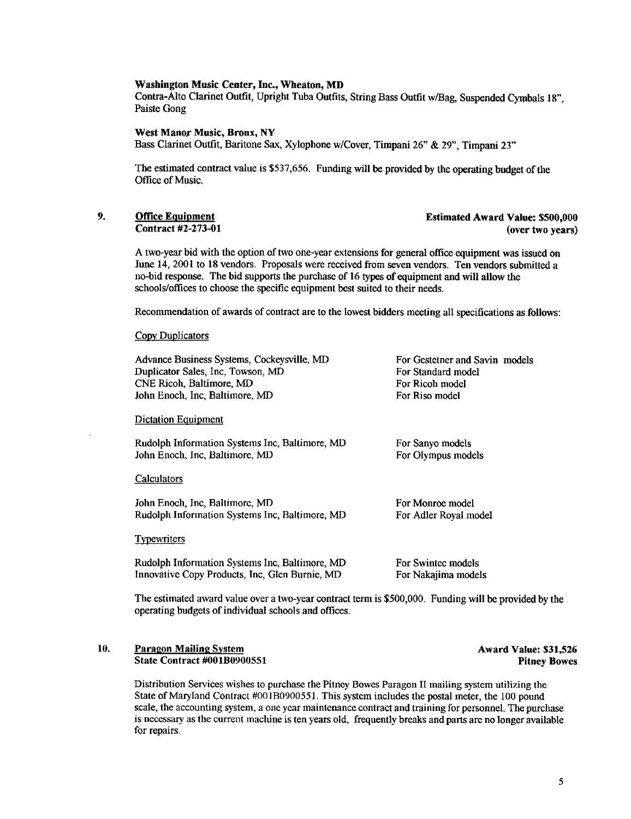#### Washington Music Center, Inc., Wheaton, MD

Contra-Alto Clarinet Outfit, Upright Tuba Outfits, String Bass Outfit wlBag, Suspended Cymbals 18", Paiste Gong

West Manor Music, Bronx, NY

Bass Clarinet Outfit, Baritone Sax, Xylophone w/Cover, Timpani 26" & 29", Timpani 23"

The estimated contract value is \$537,656 . Funding will be provided by the operating budget of the Office of Music.

9. **Office Equipment Estimated Award Value: \$500,000** Contract #2-273-01 (over two years)

A two-year bid with the option oftwo one-year extensions for general office equipment was issued on June 14, 2001 to 18 vendors . Proposals were received from seven vendors . Ten vendors submitted a no-bid response. The bid supports the purchase of 16 types of equipment and will allow the schools/offices to choose the specific equipment best suited to their needs.

Recommendation of awards of contract are to the lowest bidders meeting all specifications as follows :

#### Copy Duplicators

Advance Business Systems, Cockeysville, MD For Gestetner and Savin models<br>
Duplicator Sales, Inc. Towson, MD For Standard model Duplicator Sales, Inc, Towson, MD For Standard mo<br>
CNE Ricoh. Baltimore. MD For Ricoh model The Ricoh, Baltimore, MD<br> **CNE Ricoh, Baltimore, MD** For Riso model<br>
For Riso model John Enoch, Inc, Baltimore, MD

#### Dictation Equipment

Rudolph Information Systems Inc, Baltimore, MD For Sanyo models<br>John Enoch, Inc, Baltimore, MD For Olympus models John Enoch, Inc, Baltimore, MD

#### Calculators

John Enoch, Inc, Baltimore, MD<br>
Rudolph Information Systems Inc, Baltimore, MD For Adler Royal model Rudolph Information Systems Inc, Baltimore, MD

#### **Typewriters**

Rudolph Information Systems Inc, Baltimore, MD For Swintec models<br>Innovative Copy Products, Inc, Glen Burnie, MD For Nakajima models Innovative Copy Products, Inc, Glen Burnie, MD

The estimated award value over a two-year contract term is \$500,000. Funding will be provided by the operating budgets of individual schools and offices .

#### 10. Paragon Mailing System Award Value: \$31,526<br>State Contract #001B0900551 Pitney Bowes State Contract #001B0900551

Distribution Services wishes to purchase the Pitney Bowes Paragon Il mailing system utilizing the State of Maryland Contract #001B0900551. This system includes the postal meter, the 100 pound scale, the accounting system, a one year maintenance contract and training for personnel. The purchase is necessary as the current machine is ten years old, frequently breaks and parts are no longer available for repairs.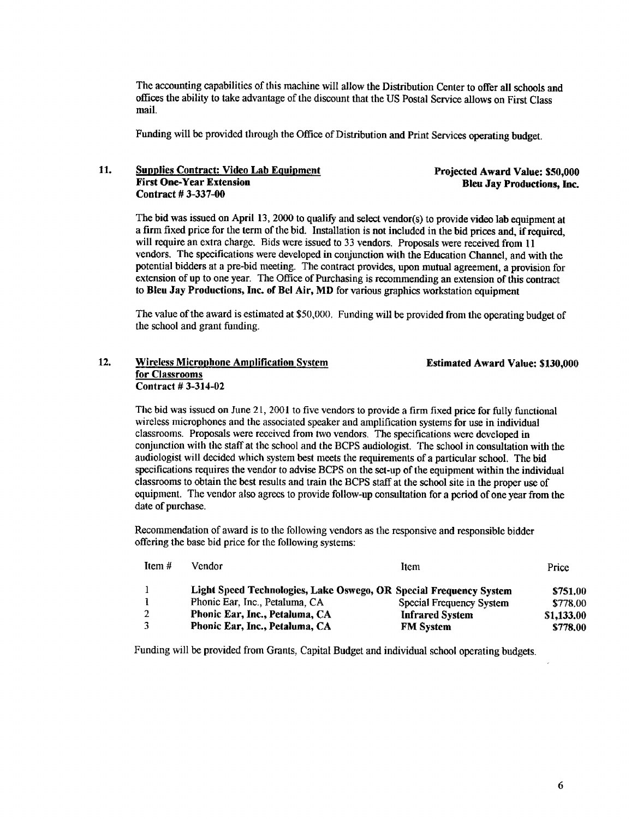The accounting capabilities of this machine will allow the Distribution Center to offer all schools and offices the ability to take advantage of the discount that the US Postal Service allows on First Class mail.

Funding will be provided through the Office of Distribution and Print Services operating budget.

## 11. Supplies Contract: Video Lab Equipment<br>
Projected Award Value: \$50,000<br>
Rien Jay Productions, Inc. Contract # 3-337-00

Bleu Jay Productions, Inc.

The bid was issued on April 13, 2000 to qualify and select vendor(s) to provide video lab equipment at a firm fixed price for the term of the bid. Installation is not included in the bid prices and, if required, will require an extra charge. Bids were issued to 33 vendors. Proposals were received from 11 vendors. The specifications were developed in conjunction with the Education Channel, and with the potential bidders at a pre-bid meeting. The contract provides, upon mutual agreement, a provision for extension of up to one year. The Office of Purchasing is recommending an extension of this contract to Bleu Jay Productions, Inc. of Bel Air, MD for various graphics workstation equipment

The value of the award is estimated at \$50,000. Funding will be provided from the operating budget of the school and grant funding.

### 12. Wireless Micropbone Amplification System Estimated Award Value: \$130,000 for Classrooms Contract # 3-314-02

The bid was issued on June 21, 2001 to five vendors to provide a firm fixed price for fully functional wireless microphones and the associated speaker and amplification systems for use in individual classrooms. Proposals were received from two vendors . The specifications were developed in conjunction with the staff at the school and the BCPS audiologist . The school in consultation with the audiologist will decided which system best meets the requirements of a particular school. The bid specifications requires the vendor to advise BCPS on the set-up of the equipment within the individual classrooms to obtain the best results and train the BCPS staff at the school site in the proper use of equipment. The vendor also agrees to provide follow-up consultation for a period of one year from the date of purchase.

Recommendation of award is to the following vendors as the responsive and responsible bidder offering the base bid price for the following systems :

| Item $#$     | Vendor                                                             | Item                     | Price      |
|--------------|--------------------------------------------------------------------|--------------------------|------------|
| $\mathbf{I}$ | Light Speed Technologies, Lake Oswego, OR Special Frequency System |                          | \$751.00   |
|              | Phonic Ear, Inc., Petaluma, CA                                     | Special Frequency System | \$778.00   |
| 2            | Phonic Ear, Inc., Petaluma, CA                                     | <b>Infrared System</b>   | \$1,133.00 |
| 3            | Phonic Ear, Inc., Petaluma, CA                                     | <b>FM</b> System         | \$778.00   |

Funding will be provided from Grants, Capital Budget and individual school operating budgets .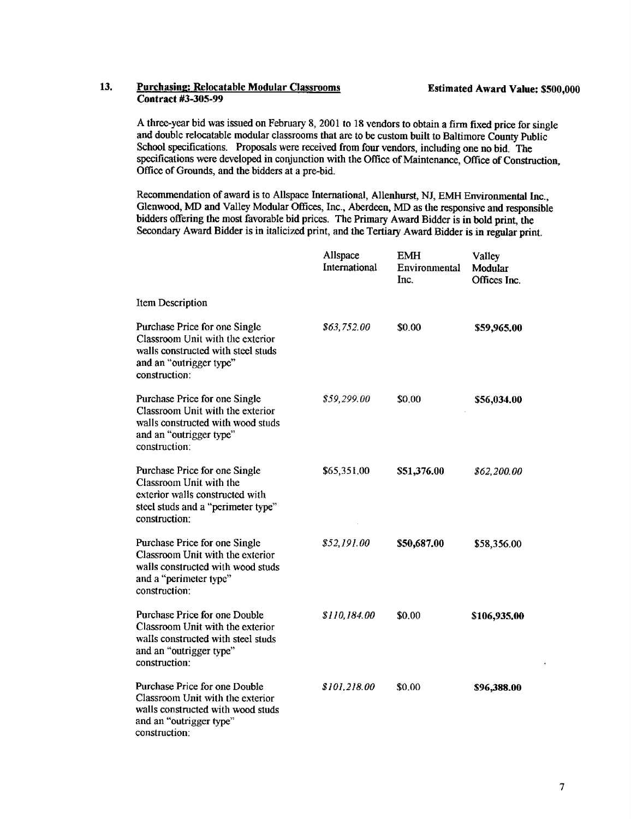#### 13. Purchasing: Relocatable Modular Classrooms Estimated Award Value: \$500,000 Contract #3-305-99

A three-year bid was issued on February 8, <sup>2001</sup> to <sup>18</sup> vendors to obtain <sup>a</sup> firm fixed price for single and double relocatable modular classrooms that are to be custom built to Baltimore County Public School specifications. Proposals were received from four vendors, including one no bid. The specifications were developed in conjunction with the Office of Maintenance, Office of Construction, Office of Grounds, and the bidders at a pre-bid.

Recommendation of award is to Allspace International, Allenhurst, NJ, EMH Environmental Inc., Glenwood, MD and Valley Modular Offices, Inc., Aberdeen, MD as the responsive and responsible bidders offering the most favorable bid prices. The Primary Award Bidder is in bold print, the Secondary Award Bidder is in italicized print, and the Tertiary Award Bidder is in regular print.

|                                                                                                                                                     | Allspace<br>International | <b>EMH</b><br>Environmental<br>Inc. | Valley<br>Modular<br>Offices Inc. |
|-----------------------------------------------------------------------------------------------------------------------------------------------------|---------------------------|-------------------------------------|-----------------------------------|
| Item Description                                                                                                                                    |                           |                                     |                                   |
| Purchase Price for one Single<br>Classroom Unit with the exterior<br>walls constructed with steel studs<br>and an "outrigger type"<br>construction: | \$63,752.00               | \$0.00                              | \$59,965.00                       |
| Purchase Price for one Single<br>Classroom Unit with the exterior<br>walls constructed with wood studs<br>and an "outrigger type"<br>construction:  | \$59,299.00               | \$0.00                              | \$56,034.00                       |
| Purchase Price for one Single<br>Classroom Unit with the<br>exterior walls constructed with<br>steel studs and a "perimeter type"<br>construction:  | \$65,351,00               | \$51,376.00                         | \$62,200.00                       |
| Purchase Price for one Single<br>Classroom Unit with the exterior<br>walls constructed with wood studs<br>and a "perimeter type"<br>construction:   | \$52,191.00               | \$50,687.00                         | \$58,356.00                       |
| Purchase Price for one Double<br>Classroom Unit with the exterior<br>walls constructed with steel studs<br>and an "outrigger type"<br>construction: | \$110,184.00              | \$0.00                              | \$106,935.00                      |
| Purchase Price for one Double<br>Classroom Unit with the exterior<br>walls constructed with wood studs<br>and an "outrigger type"<br>construction:  | <i>S101.218.00</i>        | \$0.00                              | \$96,388.00                       |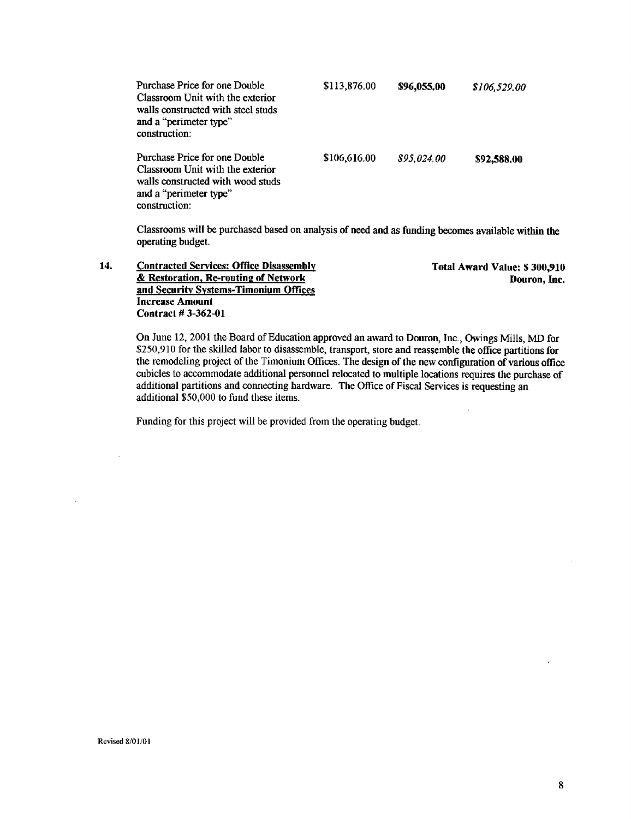| Purchase Price for one Double<br>Classroom Unit with the exterior<br>walls constructed with steel studs<br>and a "perimeter type"<br>construction: | \$113,876.00 | \$96,055.00 | \$106.529.00 |
|----------------------------------------------------------------------------------------------------------------------------------------------------|--------------|-------------|--------------|
| Purchase Price for one Double<br>Classroom Unit with the exterior<br>walls constructed with wood studs<br>and a "perimeter type"<br>construction:  | \$106,616.00 | \$95.024.00 | \$92,588,00  |

Classrooms will be purchased based on analysis of need and as funding becomes available within the operating budget.

14. Contracted Services: Office Disassembly<br>
8. Restoration, Re-routing of Network Contraction, Inc. & Restoration, Re-routing of Network and Security Systems-Timonium Offices Increase Amount Contract # 3-362-01

On June 12, 2001 the Board of Education approved an award to Douron, Inc., Owings Mills, MD for \$250,910 for the skilled labor to disassemble, transport, store and reassemble the office partitions for the remodeling project of the Timonium Offices. The design of the new configuration of various office cubicles to accommodate additional personnel relocated to multiple locations requires the purchase of additional partitions and connecting hardware. The Office of Fiscal Services is requesting an additional \$50,000 to fund these items.

Funding for this project will be provided from the operating budget.